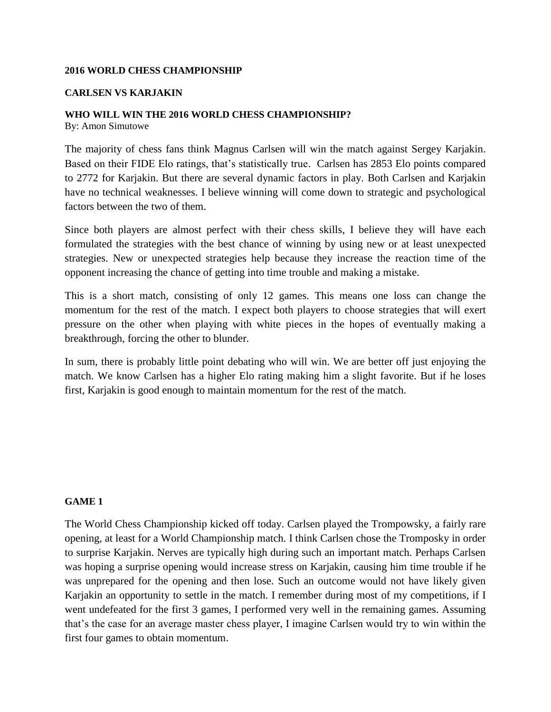### **2016 WORLD CHESS CHAMPIONSHIP**

#### **CARLSEN VS KARJAKIN**

### **WHO WILL WIN THE 2016 WORLD CHESS CHAMPIONSHIP?**

By: Amon Simutowe

The majority of chess fans think Magnus Carlsen will win the match against Sergey Karjakin. Based on their FIDE Elo ratings, that's statistically true. Carlsen has 2853 Elo points compared to 2772 for Karjakin. But there are several dynamic factors in play. Both Carlsen and Karjakin have no technical weaknesses. I believe winning will come down to strategic and psychological factors between the two of them.

Since both players are almost perfect with their chess skills, I believe they will have each formulated the strategies with the best chance of winning by using new or at least unexpected strategies. New or unexpected strategies help because they increase the reaction time of the opponent increasing the chance of getting into time trouble and making a mistake.

This is a short match, consisting of only 12 games. This means one loss can change the momentum for the rest of the match. I expect both players to choose strategies that will exert pressure on the other when playing with white pieces in the hopes of eventually making a breakthrough, forcing the other to blunder.

In sum, there is probably little point debating who will win. We are better off just enjoying the match. We know Carlsen has a higher Elo rating making him a slight favorite. But if he loses first, Karjakin is good enough to maintain momentum for the rest of the match.

# **GAME 1**

The World Chess Championship kicked off today. Carlsen played the Trompowsky, a fairly rare opening, at least for a World Championship match. I think Carlsen chose the Tromposky in order to surprise Karjakin. Nerves are typically high during such an important match. Perhaps Carlsen was hoping a surprise opening would increase stress on Karjakin, causing him time trouble if he was unprepared for the opening and then lose. Such an outcome would not have likely given Karjakin an opportunity to settle in the match. I remember during most of my competitions, if I went undefeated for the first 3 games, I performed very well in the remaining games. Assuming that's the case for an average master chess player, I imagine Carlsen would try to win within the first four games to obtain momentum.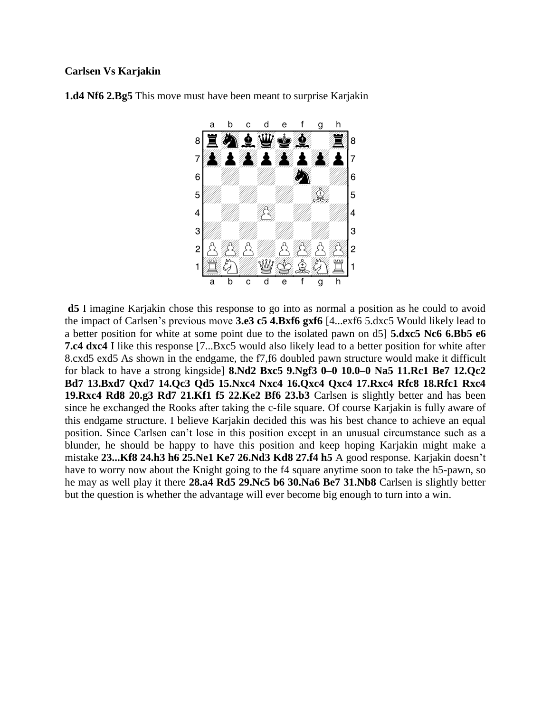# **Carlsen Vs Karjakin**



**1.d4 Nf6 2.Bg5** This move must have been meant to surprise Karjakin

**d5** I imagine Karjakin chose this response to go into as normal a position as he could to avoid the impact of Carlsen's previous move **3.e3 c5 4.Bxf6 gxf6** [4...exf6 5.dxc5 Would likely lead to a better position for white at some point due to the isolated pawn on d5] **5.dxc5 Nc6 6.Bb5 e6 7.c4 dxc4** I like this response [7...Bxc5 would also likely lead to a better position for white after 8.cxd5 exd5 As shown in the endgame, the f7,f6 doubled pawn structure would make it difficult for black to have a strong kingside] **8.Nd2 Bxc5 9.Ngf3 0–0 10.0–0 Na5 11.Rc1 Be7 12.Qc2 Bd7 13.Bxd7 Qxd7 14.Qc3 Qd5 15.Nxc4 Nxc4 16.Qxc4 Qxc4 17.Rxc4 Rfc8 18.Rfc1 Rxc4 19.Rxc4 Rd8 20.g3 Rd7 21.Kf1 f5 22.Ke2 Bf6 23.b3** Carlsen is slightly better and has been since he exchanged the Rooks after taking the c-file square. Of course Karjakin is fully aware of this endgame structure. I believe Karjakin decided this was his best chance to achieve an equal position. Since Carlsen can't lose in this position except in an unusual circumstance such as a blunder, he should be happy to have this position and keep hoping Karjakin might make a mistake **23...Kf8 24.h3 h6 25.Ne1 Ke7 26.Nd3 Kd8 27.f4 h5** A good response. Karjakin doesn't have to worry now about the Knight going to the f4 square anytime soon to take the h5-pawn, so he may as well play it there **28.a4 Rd5 29.Nc5 b6 30.Na6 Be7 31.Nb8** Carlsen is slightly better but the question is whether the advantage will ever become big enough to turn into a win.